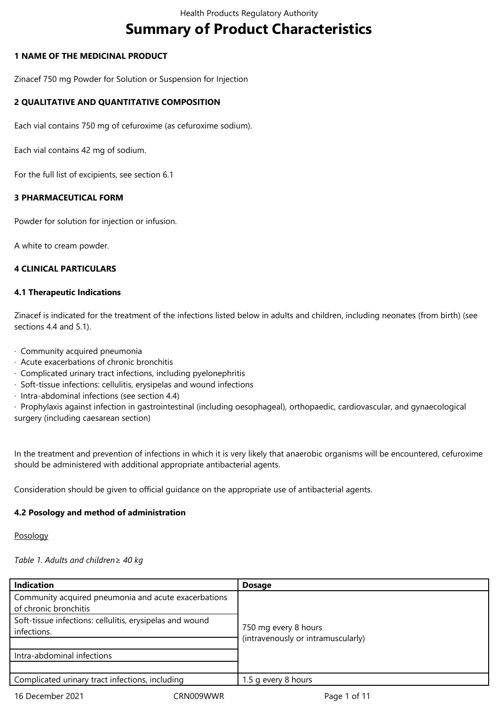# **Summary of Product Characteristics**

## **1 NAME OF THE MEDICINAL PRODUCT**

Zinacef 750 mg Powder for Solution or Suspension for Injection

# **2 QUALITATIVE AND QUANTITATIVE COMPOSITION**

Each vial contains 750 mg of cefuroxime (as cefuroxime sodium).

Each vial contains 42 mg of sodium.

For the full list of excipients, see section 6.1

# **3 PHARMACEUTICAL FORM**

Powder for solution for injection or infusion.

A white to cream powder.

## **4 CLINICAL PARTICULARS**

## **4.1 Therapeutic Indications**

Zinacef is indicated for the treatment of the infections listed below in adults and children, including neonates (from birth) (see sections 4.4 and 5.1).

- · Community acquired pneumonia
- · Acute exacerbations of chronic bronchitis
- · Complicated urinary tract infections, including pyelonephritis
- · Soft-tissue infections: cellulitis, erysipelas and wound infections
- · Intra-abdominal infections (see section 4.4)

· Prophylaxis against infection in gastrointestinal (including oesophageal), orthopaedic, cardiovascular, and gynaecological surgery (including caesarean section)

In the treatment and prevention of infections in which it is very likely that anaerobic organisms will be encountered, cefuroxime should be administered with additional appropriate antibacterial agents.

Consideration should be given to official guidance on the appropriate use of antibacterial agents.

# **4.2 Posology and method of administration**

#### Posology

#### *Table 1. Adults and children≥ 40 kg*

| <b>Indication</b>                                        | <b>Dosage</b>                      |  |
|----------------------------------------------------------|------------------------------------|--|
| Community acquired pneumonia and acute exacerbations     |                                    |  |
| of chronic bronchitis                                    |                                    |  |
| Soft-tissue infections: cellulitis, erysipelas and wound |                                    |  |
| infections.                                              | 750 mg every 8 hours               |  |
|                                                          | (intravenously or intramuscularly) |  |
| Intra-abdominal infections                               |                                    |  |
|                                                          |                                    |  |
| Complicated urinary tract infections, including          | 1.5 g every 8 hours                |  |
| 16 December 2021<br>CRN009WWR                            | Page 1 of 11                       |  |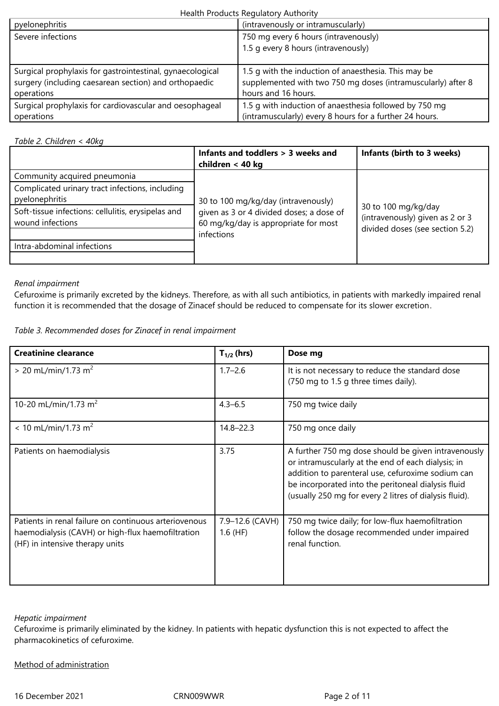# Health Products Regulatory Authority

| pyelonephritis                                            | (intravenously or intramuscularly)                           |
|-----------------------------------------------------------|--------------------------------------------------------------|
| Severe infections                                         | 750 mg every 6 hours (intravenously)                         |
|                                                           | 1.5 g every 8 hours (intravenously)                          |
|                                                           |                                                              |
| Surgical prophylaxis for gastrointestinal, gynaecological | 1.5 g with the induction of anaesthesia. This may be         |
| surgery (including caesarean section) and orthopaedic     | supplemented with two 750 mg doses (intramuscularly) after 8 |
| operations                                                | hours and 16 hours.                                          |
| Surgical prophylaxis for cardiovascular and oesophageal   | 1.5 g with induction of anaesthesia followed by 750 mg       |
| operations                                                | (intramuscularly) every 8 hours for a further 24 hours.      |

*Table 2. Children < 40kg*

|                                                                        | Infants and toddlers > 3 weeks and<br>children < 40 kg                                         | Infants (birth to 3 weeks)                                                                |
|------------------------------------------------------------------------|------------------------------------------------------------------------------------------------|-------------------------------------------------------------------------------------------|
| Community acquired pneumonia                                           |                                                                                                |                                                                                           |
| Complicated urinary tract infections, including<br>pyelonephritis      | 30 to 100 mg/kg/day (intravenously)                                                            |                                                                                           |
| Soft-tissue infections: cellulitis, erysipelas and<br>wound infections | given as 3 or 4 divided doses; a dose of<br>60 mg/kg/day is appropriate for most<br>infections | 30 to 100 mg/kg/day<br>(intravenously) given as 2 or 3<br>divided doses (see section 5.2) |
| Intra-abdominal infections                                             |                                                                                                |                                                                                           |
|                                                                        |                                                                                                |                                                                                           |

#### *Renal impairment*

Cefuroxime is primarily excreted by the kidneys. Therefore, as with all such antibiotics, in patients with markedly impaired renal function it is recommended that the dosage of Zinacef should be reduced to compensate for its slower excretion.

| Table 3. Recommended doses for Zinacef in renal impairment |  |
|------------------------------------------------------------|--|
|------------------------------------------------------------|--|

| <b>Creatinine clearance</b>                                                                                                                   | $T_{1/2}$ (hrs)               | Dose mg                                                                                                                                                                                                                                                                        |
|-----------------------------------------------------------------------------------------------------------------------------------------------|-------------------------------|--------------------------------------------------------------------------------------------------------------------------------------------------------------------------------------------------------------------------------------------------------------------------------|
| $> 20$ mL/min/1.73 m <sup>2</sup>                                                                                                             | $1.7 - 2.6$                   | It is not necessary to reduce the standard dose<br>(750 mg to 1.5 g three times daily).                                                                                                                                                                                        |
| 10-20 mL/min/1.73 m <sup>2</sup>                                                                                                              | $4.3 - 6.5$                   | 750 mg twice daily                                                                                                                                                                                                                                                             |
| $< 10$ mL/min/1.73 m <sup>2</sup>                                                                                                             | $14.8 - 22.3$                 | 750 mg once daily                                                                                                                                                                                                                                                              |
| Patients on haemodialysis                                                                                                                     | 3.75                          | A further 750 mg dose should be given intravenously<br>or intramuscularly at the end of each dialysis; in<br>addition to parenteral use, cefuroxime sodium can<br>be incorporated into the peritoneal dialysis fluid<br>(usually 250 mg for every 2 litres of dialysis fluid). |
| Patients in renal failure on continuous arteriovenous<br>haemodialysis (CAVH) or high-flux haemofiltration<br>(HF) in intensive therapy units | 7.9-12.6 (CAVH)<br>$1.6$ (HF) | 750 mg twice daily; for low-flux haemofiltration<br>follow the dosage recommended under impaired<br>renal function.                                                                                                                                                            |

#### *Hepatic impairment*

Cefuroxime is primarily eliminated by the kidney. In patients with hepatic dysfunction this is not expected to affect the pharmacokinetics of cefuroxime.

# Method of administration

16 December 2021 CRN009WWR Page 2 of 11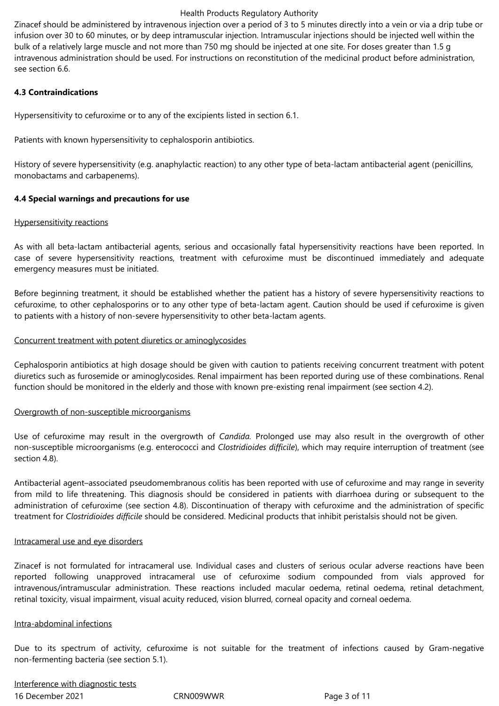#### Health Products Regulatory Authority

Zinacef should be administered by intravenous injection over a period of 3 to 5 minutes directly into a vein or via a drip tube or infusion over 30 to 60 minutes, or by deep intramuscular injection. Intramuscular injections should be injected well within the bulk of a relatively large muscle and not more than 750 mg should be injected at one site. For doses greater than 1.5 g intravenous administration should be used. For instructions on reconstitution of the medicinal product before administration, see section 6.6.

## **4.3 Contraindications**

Hypersensitivity to cefuroxime or to any of the excipients listed in section 6.1.

Patients with known hypersensitivity to cephalosporin antibiotics.

History of severe hypersensitivity (e.g. anaphylactic reaction) to any other type of beta-lactam antibacterial agent (penicillins, monobactams and carbapenems).

## **4.4 Special warnings and precautions for use**

#### Hypersensitivity reactions

As with all beta-lactam antibacterial agents, serious and occasionally fatal hypersensitivity reactions have been reported. In case of severe hypersensitivity reactions, treatment with cefuroxime must be discontinued immediately and adequate emergency measures must be initiated.

Before beginning treatment, it should be established whether the patient has a history of severe hypersensitivity reactions to cefuroxime, to other cephalosporins or to any other type of beta-lactam agent. Caution should be used if cefuroxime is given to patients with a history of non-severe hypersensitivity to other beta-lactam agents.

#### Concurrent treatment with potent diuretics or aminoglycosides

Cephalosporin antibiotics at high dosage should be given with caution to patients receiving concurrent treatment with potent diuretics such as furosemide or aminoglycosides. Renal impairment has been reported during use of these combinations. Renal function should be monitored in the elderly and those with known pre-existing renal impairment (see section 4.2).

#### Overgrowth of non-susceptible microorganisms

Use of cefuroxime may result in the overgrowth of *Candida.* Prolonged use may also result in the overgrowth of other non-susceptible microorganisms (e.g. enterococci and *Clostridioides difficile*), which may require interruption of treatment (see section 4.8).

Antibacterial agent–associated pseudomembranous colitis has been reported with use of cefuroxime and may range in severity from mild to life threatening. This diagnosis should be considered in patients with diarrhoea during or subsequent to the administration of cefuroxime (see section 4.8). Discontinuation of therapy with cefuroxime and the administration of specific treatment for *Clostridioides difficile* should be considered. Medicinal products that inhibit peristalsis should not be given.

#### Intracameral use and eye disorders

Zinacef is not formulated for intracameral use. Individual cases and clusters of serious ocular adverse reactions have been reported following unapproved intracameral use of cefuroxime sodium compounded from vials approved for intravenous/intramuscular administration. These reactions included macular oedema, retinal oedema, retinal detachment, retinal toxicity, visual impairment, visual acuity reduced, vision blurred, corneal opacity and corneal oedema.

#### Intra-abdominal infections

Due to its spectrum of activity, cefuroxime is not suitable for the treatment of infections caused by Gram-negative non-fermenting bacteria (see section 5.1).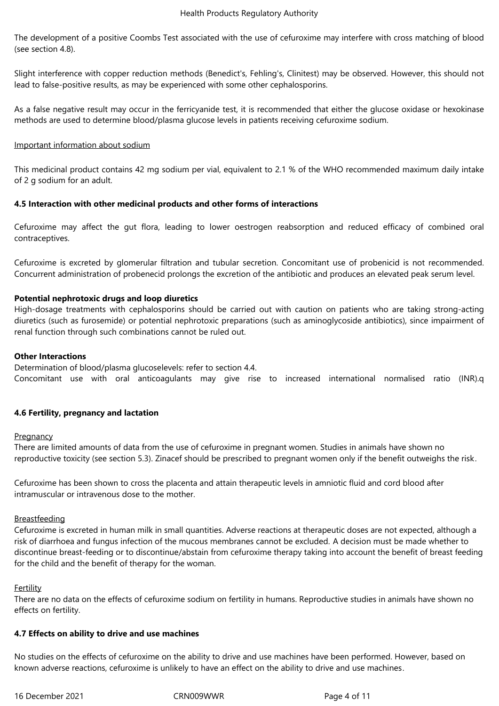The development of a positive Coombs Test associated with the use of cefuroxime may interfere with cross matching of blood (see section 4.8).

Slight interference with copper reduction methods (Benedict's, Fehling's, Clinitest) may be observed. However, this should not lead to false-positive results, as may be experienced with some other cephalosporins.

As a false negative result may occur in the ferricyanide test, it is recommended that either the glucose oxidase or hexokinase methods are used to determine blood/plasma glucose levels in patients receiving cefuroxime sodium.

#### Important information about sodium

This medicinal product contains 42 mg sodium per vial, equivalent to 2.1 % of the WHO recommended maximum daily intake of 2 g sodium for an adult.

## **4.5 Interaction with other medicinal products and other forms of interactions**

Cefuroxime may affect the gut flora, leading to lower oestrogen reabsorption and reduced efficacy of combined oral contraceptives.

Cefuroxime is excreted by glomerular filtration and tubular secretion. Concomitant use of probenicid is not recommended. Concurrent administration of probenecid prolongs the excretion of the antibiotic and produces an elevated peak serum level.

## **Potential nephrotoxic drugs and loop diuretics**

High-dosage treatments with cephalosporins should be carried out with caution on patients who are taking strong-acting diuretics (such as furosemide) or potential nephrotoxic preparations (such as aminoglycoside antibiotics), since impairment of renal function through such combinations cannot be ruled out.

#### **Other Interactions**

Determination of blood/plasma glucoselevels: refer to section 4.4. Concomitant use with oral anticoagulants may give rise to increased international normalised ratio (INR).q

#### **4.6 Fertility, pregnancy and lactation**

#### **Pregnancy**

There are limited amounts of data from the use of cefuroxime in pregnant women. Studies in animals have shown no reproductive toxicity (see section 5.3). Zinacef should be prescribed to pregnant women only if the benefit outweighs the risk.

Cefuroxime has been shown to cross the placenta and attain therapeutic levels in amniotic fluid and cord blood after intramuscular or intravenous dose to the mother.

#### Breastfeeding

Cefuroxime is excreted in human milk in small quantities. Adverse reactions at therapeutic doses are not expected, although a risk of diarrhoea and fungus infection of the mucous membranes cannot be excluded. A decision must be made whether to discontinue breast-feeding or to discontinue/abstain from cefuroxime therapy taking into account the benefit of breast feeding for the child and the benefit of therapy for the woman.

#### Fertility

There are no data on the effects of cefuroxime sodium on fertility in humans. Reproductive studies in animals have shown no effects on fertility.

#### **4.7 Effects on ability to drive and use machines**

No studies on the effects of cefuroxime on the ability to drive and use machines have been performed. However, based on known adverse reactions, cefuroxime is unlikely to have an effect on the ability to drive and use machines.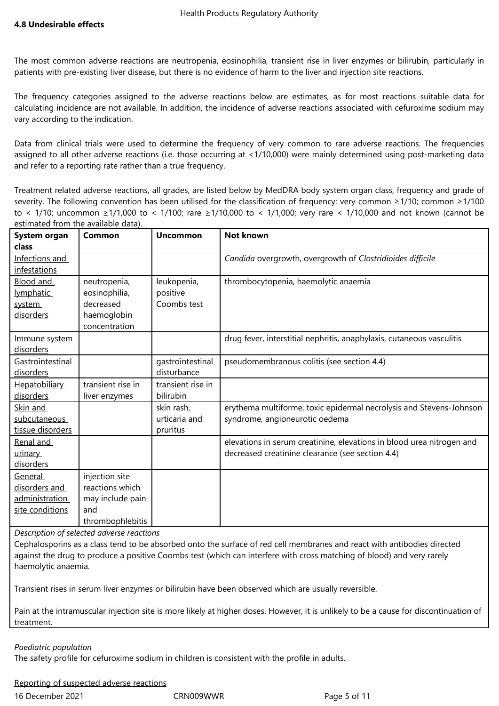The most common adverse reactions are neutropenia, eosinophilia, transient rise in liver enzymes or bilirubin, particularly in patients with pre-existing liver disease, but there is no evidence of harm to the liver and injection site reactions.

The frequency categories assigned to the adverse reactions below are estimates, as for most reactions suitable data for calculating incidence are not available. In addition, the incidence of adverse reactions associated with cefuroxime sodium may vary according to the indication.

Data from clinical trials were used to determine the frequency of very common to rare adverse reactions. The frequencies assigned to all other adverse reactions (i.e. those occurring at <1/10,000) were mainly determined using post-marketing data and refer to a reporting rate rather than a true frequency.

Treatment related adverse reactions, all grades, are listed below by MedDRA body system organ class, frequency and grade of severity. The following convention has been utilised for the classification of frequency: very common ≥1/10; common ≥1/100 to < 1/10; uncommon ≥1/1,000 to < 1/100; rare ≥1/10,000 to < 1/1,000; very rare < 1/10,000 and not known (cannot be estimated from the available data).

| System organ     | Common            | <b>Uncommon</b>   | <b>Not known</b>                                                      |
|------------------|-------------------|-------------------|-----------------------------------------------------------------------|
| class            |                   |                   |                                                                       |
| Infections and   |                   |                   | Candida overgrowth, overgrowth of Clostridioides difficile            |
| infestations     |                   |                   |                                                                       |
| <b>Blood and</b> | neutropenia,      | leukopenia,       | thrombocytopenia, haemolytic anaemia                                  |
| lymphatic        | eosinophilia,     | positive          |                                                                       |
| system           | decreased         | Coombs test       |                                                                       |
| disorders        | haemoglobin       |                   |                                                                       |
|                  | concentration     |                   |                                                                       |
| Immune system    |                   |                   | drug fever, interstitial nephritis, anaphylaxis, cutaneous vasculitis |
| disorders        |                   |                   |                                                                       |
| Gastrointestinal |                   | gastrointestinal  | pseudomembranous colitis (see section 4.4)                            |
| disorders        |                   | disturbance       |                                                                       |
| Hepatobiliary    | transient rise in | transient rise in |                                                                       |
| disorders        | liver enzymes     | bilirubin         |                                                                       |
| Skin and         |                   | skin rash,        | erythema multiforme, toxic epidermal necrolysis and Stevens-Johnson   |
| subcutaneous     |                   | urticaria and     | syndrome, angioneurotic oedema                                        |
| tissue disorders |                   | pruritus          |                                                                       |
| Renal and        |                   |                   | elevations in serum creatinine, elevations in blood urea nitrogen and |
| <u>urinary</u>   |                   |                   | decreased creatinine clearance (see section 4.4)                      |
| disorders        |                   |                   |                                                                       |
| General          | injection site    |                   |                                                                       |
| disorders and    | reactions which   |                   |                                                                       |
| administration   | may include pain  |                   |                                                                       |
| site conditions  | and               |                   |                                                                       |
|                  | thrombophlebitis  |                   |                                                                       |

*Description of selected adverse reactions*

Cephalosporins as a class tend to be absorbed onto the surface of red cell membranes and react with antibodies directed against the drug to produce a positive Coombs test (which can interfere with cross matching of blood) and very rarely haemolytic anaemia.

Transient rises in serum liver enzymes or bilirubin have been observed which are usually reversible.

Pain at the intramuscular injection site is more likely at higher doses. However, it is unlikely to be a cause for discontinuation of treatment.

#### *Paediatric population*

The safety profile for cefuroxime sodium in children is consistent with the profile in adults.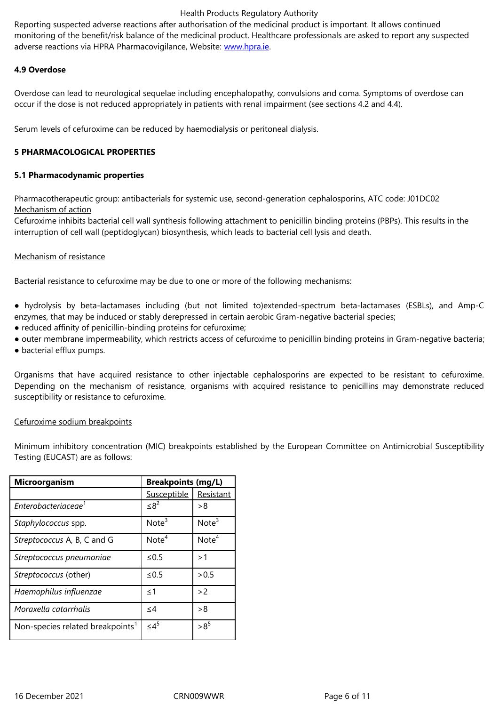adverse reactions via HPRA Pharmacovigilance, Website: www.hpra.ie.

## **4.9 Overdose**

Overdose can lead to neurological sequelae including en[cephalopath](http://www.hpra.ie/)y, convulsions and coma. Symptoms of overdose can occur if the dose is not reduced appropriately in patients with renal impairment (see sections 4.2 and 4.4).

Serum levels of cefuroxime can be reduced by haemodialysis or peritoneal dialysis.

## **5 PHARMACOLOGICAL PROPERTIES**

## **5.1 Pharmacodynamic properties**

Pharmacotherapeutic group: antibacterials for systemic use, second-generation cephalosporins, ATC code: J01DC02 Mechanism of action

Cefuroxime inhibits bacterial cell wall synthesis following attachment to penicillin binding proteins (PBPs). This results in the interruption of cell wall (peptidoglycan) biosynthesis, which leads to bacterial cell lysis and death.

#### Mechanism of resistance

Bacterial resistance to cefuroxime may be due to one or more of the following mechanisms:

- hydrolysis by beta-lactamases including (but not limited to)extended-spectrum beta-lactamases (ESBLs), and Amp-C enzymes, that may be induced or stably derepressed in certain aerobic Gram-negative bacterial species;
- reduced affinity of penicillin-binding proteins for cefuroxime;
- outer membrane impermeability, which restricts access of cefuroxime to penicillin binding proteins in Gram-negative bacteria;
- bacterial efflux pumps.

Organisms that have acquired resistance to other injectable cephalosporins are expected to be resistant to cefuroxime. Depending on the mechanism of resistance, organisms with acquired resistance to penicillins may demonstrate reduced susceptibility or resistance to cefuroxime.

#### Cefuroxime sodium breakpoints

Minimum inhibitory concentration (MIC) breakpoints established by the European Committee on Antimicrobial Susceptibility Testing (EUCAST) are as follows:

| <b>Breakpoints (mg/L)</b><br><b>Microorganism</b> |                   |                   |
|---------------------------------------------------|-------------------|-------------------|
|                                                   | Susceptible       | Resistant         |
| Enterobacteriaceae <sup>1</sup>                   | $< 8^2$           | >8                |
| Staphylococcus spp.                               | Note <sup>3</sup> | Note <sup>3</sup> |
| Streptococcus A, B, C and G                       | Note <sup>4</sup> | Note <sup>4</sup> |
| Streptococcus pneumoniae                          | $\leq 0.5$        | >1                |
| Streptococcus (other)                             | $\leq 0.5$        | > 0.5             |
| Haemophilus influenzae                            | < 1               | >2                |
| Moraxella catarrhalis                             | $\leq$ 4          | >8                |
| Non-species related breakpoints <sup>1</sup>      | $\leq 4^5$        | $>8^{5}$          |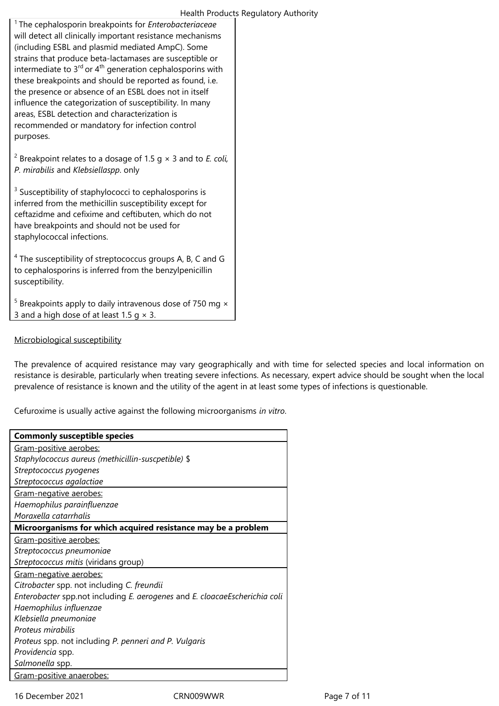#### Health Products Regulatory Authority

<sup>1</sup>The cephalosporin breakpoints for *Enterobacteriaceae* will detect all clinically important resistance mechanisms (including ESBL and plasmid mediated AmpC). Some strains that produce beta-lactamases are susceptible or intermediate to  $3<sup>rd</sup>$  or  $4<sup>th</sup>$  generation cephalosporins with these breakpoints and should be reported as found, i.e. the presence or absence of an ESBL does not in itself influence the categorization of susceptibility. In many areas, ESBL detection and characterization is recommended or mandatory for infection control purposes.

2 Breakpoint relates to a dosage of 1.5 g × 3 and to *E. coli, P. mirabilis* and *Klebsiellaspp*. only

<sup>3</sup> Susceptibility of staphylococci to cephalosporins is inferred from the methicillin susceptibility except for ceftazidme and cefixime and ceftibuten, which do not have breakpoints and should not be used for staphylococcal infections.

<sup>4</sup> The susceptibility of streptococcus groups A, B, C and G to cephalosporins is inferred from the benzylpenicillin susceptibility.

 $5$  Breakpoints apply to daily intravenous dose of 750 mg  $\times$ 3 and a high dose of at least 1.5  $q \times 3$ .

## Microbiological susceptibility

The prevalence of acquired resistance may vary geographically and with time for selected species and local information on resistance is desirable, particularly when treating severe infections. As necessary, expert advice should be sought when the local prevalence of resistance is known and the utility of the agent in at least some types of infections is questionable.

Cefuroxime is usually active against the following microorganisms *in vitro*.

| <b>Commonly susceptible species</b>                                        |
|----------------------------------------------------------------------------|
| Gram-positive aerobes:                                                     |
| Staphylococcus aureus (methicillin-suscpetible) \$                         |
| Streptococcus pyogenes                                                     |
| Streptococcus agalactiae                                                   |
| Gram-negative aerobes:                                                     |
| Haemophilus parainfluenzae                                                 |
| Moraxella catarrhalis                                                      |
| Microorganisms for which acquired resistance may be a problem              |
| Gram-positive aerobes:                                                     |
| Streptococcus pneumoniae                                                   |
| Streptococcus mitis (viridans group)                                       |
| Gram-negative aerobes:                                                     |
| Citrobacter spp. not including C. freundii                                 |
| Enterobacter spp.not including E. aerogenes and E. cloacaeEscherichia coli |
| Haemophilus influenzae                                                     |
| Klebsiella pneumoniae                                                      |
| Proteus mirabilis                                                          |
| Proteus spp. not including P. penneri and P. Vulgaris                      |
| Providencia spp.                                                           |
| Salmonella spp.                                                            |
| Gram-positive anaerobes:                                                   |

16 December 2021 **CRN009WWR** Page 7 of 11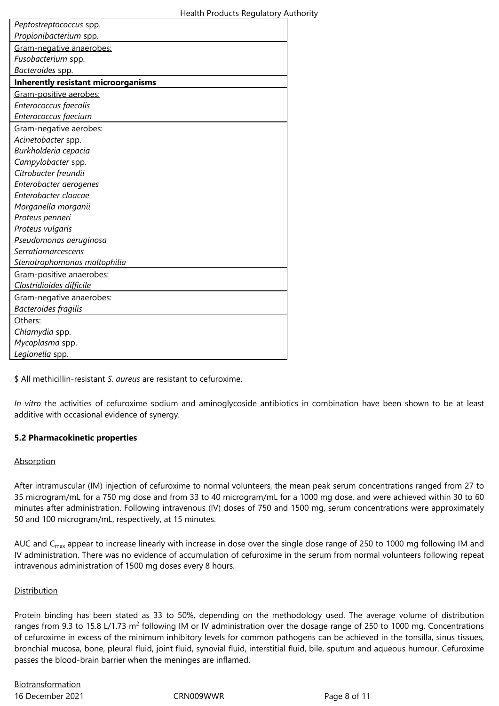| Peptostreptococcus spp.                    |
|--------------------------------------------|
| Propionibacterium spp.                     |
| Gram-negative anaerobes:                   |
| Fusobacterium spp.                         |
| Bacteroides spp.                           |
| <b>Inherently resistant microorganisms</b> |
| Gram-positive aerobes:                     |
| Enterococcus faecalis                      |
| Enterococcus faecium                       |
| Gram-negative aerobes:                     |
| Acinetobacter spp.                         |
| Burkholderia cepacia                       |
| Campylobacter spp.                         |
| Citrobacter freundii                       |
| Enterobacter aerogenes                     |
| Enterobacter cloacae                       |
| Morganella morganii                        |
| Proteus penneri                            |
| Proteus vulgaris                           |
| Pseudomonas aeruginosa                     |
| <b>Serratiamarcescens</b>                  |
| Stenotrophomonas maltophilia               |
| Gram-positive anaerobes:                   |
| Clostridioides difficile                   |
| Gram-negative anaerobes:                   |
| Bacteroides fragilis                       |
| Others:                                    |
| Chlamydia spp.                             |
| Mycoplasma spp.                            |
| Legionella spp.                            |

\$ All methicillin-resistant *S. aureus* are resistant to cefuroxime.

*In vitro* the activities of cefuroxime sodium and aminoglycoside antibiotics in combination have been shown to be at least additive with occasional evidence of synergy.

# **5.2 Pharmacokinetic properties**

#### Absorption

After intramuscular (IM) injection of cefuroxime to normal volunteers, the mean peak serum concentrations ranged from 27 to 35 microgram/mL for a 750 mg dose and from 33 to 40 microgram/mL for a 1000 mg dose, and were achieved within 30 to 60 minutes after administration. Following intravenous (IV) doses of 750 and 1500 mg, serum concentrations were approximately 50 and 100 microgram/mL, respectively, at 15 minutes.

AUC and C<sub>max</sub> appear to increase linearly with increase in dose over the single dose range of 250 to 1000 mg following IM and IV administration. There was no evidence of accumulation of cefuroxime in the serum from normal volunteers following repeat intravenous administration of 1500 mg doses every 8 hours.

# Distribution

Protein binding has been stated as 33 to 50%, depending on the methodology used. The average volume of distribution ranges from 9.3 to 15.8 L/1.73 m<sup>2</sup> following IM or IV administration over the dosage range of 250 to 1000 mg. Concentrations of cefuroxime in excess of the minimum inhibitory levels for common pathogens can be achieved in the tonsilla, sinus tissues, bronchial mucosa, bone, pleural fluid, joint fluid, synovial fluid, interstitial fluid, bile, sputum and aqueous humour. Cefuroxime passes the blood-brain barrier when the meninges are inflamed.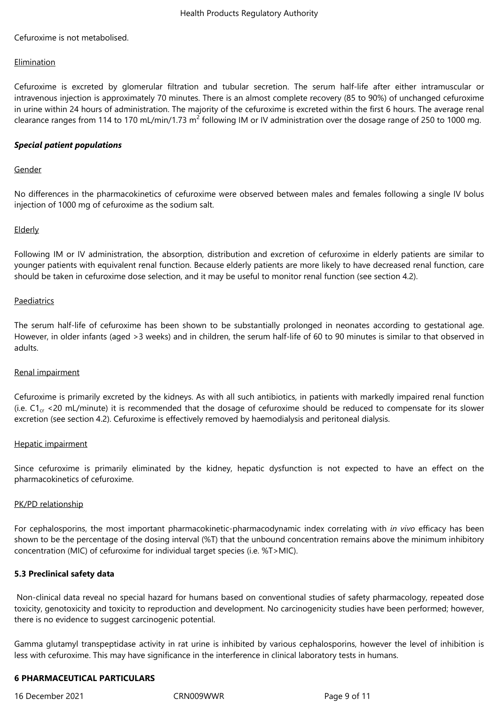Cefuroxime is not metabolised.

#### Elimination

Cefuroxime is excreted by glomerular filtration and tubular secretion. The serum half-life after either intramuscular or intravenous injection is approximately 70 minutes. There is an almost complete recovery (85 to 90%) of unchanged cefuroxime in urine within 24 hours of administration. The majority of the cefuroxime is excreted within the first 6 hours. The average renal clearance ranges from 114 to 170 mL/min/1.73 m<sup>2</sup> following IM or IV administration over the dosage range of 250 to 1000 mg.

## *Special patient populations*

## Gender

No differences in the pharmacokinetics of cefuroxime were observed between males and females following a single IV bolus injection of 1000 mg of cefuroxime as the sodium salt.

## **Elderly**

Following IM or IV administration, the absorption, distribution and excretion of cefuroxime in elderly patients are similar to younger patients with equivalent renal function. Because elderly patients are more likely to have decreased renal function, care should be taken in cefuroxime dose selection, and it may be useful to monitor renal function (see section 4.2).

#### Paediatrics

The serum half-life of cefuroxime has been shown to be substantially prolonged in neonates according to gestational age. However, in older infants (aged >3 weeks) and in children, the serum half-life of 60 to 90 minutes is similar to that observed in adults.

#### Renal impairment

Cefuroxime is primarily excreted by the kidneys. As with all such antibiotics, in patients with markedly impaired renal function (i.e.  $C1_{cr}$  <20 mL/minute) it is recommended that the dosage of cefuroxime should be reduced to compensate for its slower excretion (see section 4.2). Cefuroxime is effectively removed by haemodialysis and peritoneal dialysis.

#### Hepatic impairment

Since cefuroxime is primarily eliminated by the kidney, hepatic dysfunction is not expected to have an effect on the pharmacokinetics of cefuroxime.

#### PK/PD relationship

For cephalosporins, the most important pharmacokinetic-pharmacodynamic index correlating with *in vivo* efficacy has been shown to be the percentage of the dosing interval (%T) that the unbound concentration remains above the minimum inhibitory concentration (MIC) of cefuroxime for individual target species (i.e. %T>MIC).

#### **5.3 Preclinical safety data**

Non-clinical data reveal no special hazard for humans based on conventional studies of safety pharmacology, repeated dose toxicity, genotoxicity and toxicity to reproduction and development. No carcinogenicity studies have been performed; however, there is no evidence to suggest carcinogenic potential.

Gamma glutamyl transpeptidase activity in rat urine is inhibited by various cephalosporins, however the level of inhibition is less with cefuroxime. This may have significance in the interference in clinical laboratory tests in humans.

## **6 PHARMACEUTICAL PARTICULARS**

16 December 2021 CRN009WWR Page 9 of 11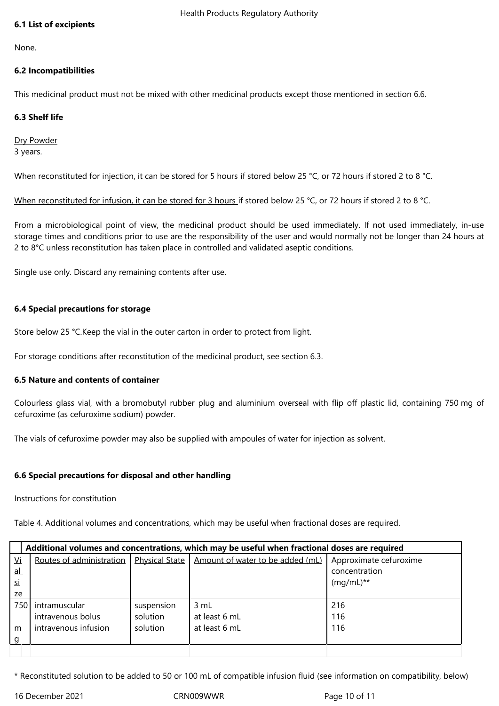## **6.1 List of excipients**

None.

## **6.2 Incompatibilities**

This medicinal product must not be mixed with other medicinal products except those mentioned in section 6.6.

## **6.3 Shelf life**

Dry Powder 3 years.

When reconstituted for injection, it can be stored for 5 hours if stored below 25 °C, or 72 hours if stored 2 to 8 °C.

When reconstituted for infusion, it can be stored for 3 hours if stored below 25 °C, or 72 hours if stored 2 to 8 °C.

From a microbiological point of view, the medicinal product should be used immediately. If not used immediately, in-use storage times and conditions prior to use are the responsibility of the user and would normally not be longer than 24 hours at 2 to 8°C unless reconstitution has taken place in controlled and validated aseptic conditions.

Single use only. Discard any remaining contents after use.

## **6.4 Special precautions for storage**

Store below 25 °C.Keep the vial in the outer carton in order to protect from light.

For storage conditions after reconstitution of the medicinal product, see section 6.3.

#### **6.5 Nature and contents of container**

Colourless glass vial, with a bromobutyl rubber plug and aluminium overseal with flip off plastic lid, containing 750 mg of cefuroxime (as cefuroxime sodium) powder.

The vials of cefuroxime powder may also be supplied with ampoules of water for injection as solvent.

# **6.6 Special precautions for disposal and other handling**

#### Instructions for constitution

Table 4. Additional volumes and concentrations, which may be useful when fractional doses are required.

|                           | Additional volumes and concentrations, which may be useful when fractional doses are required |                       |                                  |                        |
|---------------------------|-----------------------------------------------------------------------------------------------|-----------------------|----------------------------------|------------------------|
| <u>Vi</u>                 | Routes of administration                                                                      | <b>Physical State</b> | Amount of water to be added (mL) | Approximate cefuroxime |
| $\underline{\mathsf{al}}$ |                                                                                               |                       |                                  | concentration          |
| si                        |                                                                                               |                       |                                  | $(mq/mL)**$            |
| ze                        |                                                                                               |                       |                                  |                        |
| 750                       | intramuscular                                                                                 | suspension            | 3 mL                             | 216                    |
|                           | intravenous bolus                                                                             | solution              | at least 6 mL                    | 116                    |
| m                         | intravenous infusion                                                                          | solution              | at least 6 mL                    | 116                    |
| g                         |                                                                                               |                       |                                  |                        |
|                           |                                                                                               |                       |                                  |                        |

\* Reconstituted solution to be added to 50 or 100 mL of compatible infusion fluid (see information on compatibility, below)